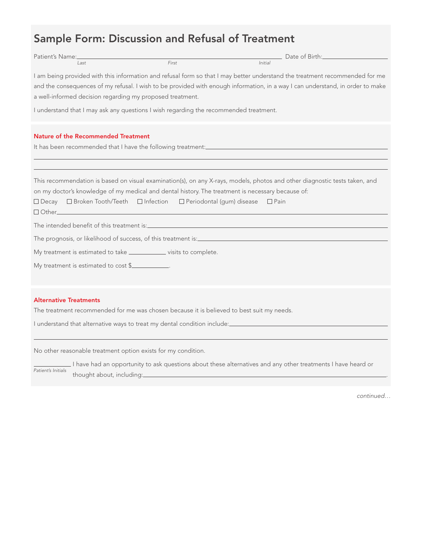# Sample Form: Discussion and Refusal of Treatment

| Patient's Name:                                                                                                                |       | Date of Birth: The Contract of Birth: |  |  |
|--------------------------------------------------------------------------------------------------------------------------------|-------|---------------------------------------|--|--|
| Last                                                                                                                           | First | Initial                               |  |  |
| I am being provided with this information and refusal form so that I may better understand the treatment recommended for me    |       |                                       |  |  |
| and the consequences of my refusal. I wish to be provided with enough information, in a way I can understand, in order to make |       |                                       |  |  |
| a well-informed decision regarding my proposed treatment.                                                                      |       |                                       |  |  |
| I understand that I may ask any questions I wish regarding the recommended treatment.                                          |       |                                       |  |  |

Nature of the Recommended Treatment

It has been recommended that I have the following treatment:\_

This recommendation is based on visual examination(s), on any X-rays, models, photos and other diagnostic tests taken, and on my doctor's knowledge of my medical and dental history. The treatment is necessary because of:

 $\Box$  Decay  $\Box$  Broken Tooth/Teeth  $\Box$  Infection  $\Box$  Periodontal (gum) disease  $\Box$  Pain

Other\_

The intended benefit of this treatment is:

The prognosis, or likelihood of success, of this treatment is:

My treatment is estimated to take **vicious** visits to complete.

My treatment is estimated to cost \$

### Alternative Treatments

The treatment recommended for me was chosen because it is believed to best suit my needs.

I understand that alternative ways to treat my dental condition include:

No other reasonable treatment option exists for my condition.

LI have had an opportunity to ask questions about these alternatives and any other treatments I have heard or thought about, including: . Patient's Initials

continued…